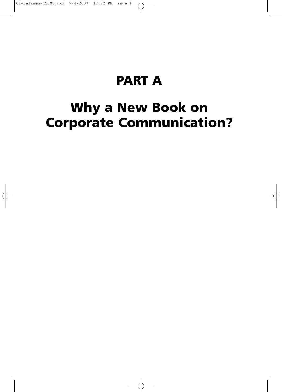## **PART A**

# **Why a New Book on Corporate Communication?**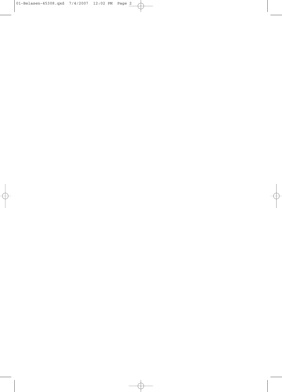$|01 - \text{Belasen-}45308.\text{qxd}$  7/4/2007 12:02 PM Page 2  $\Rightarrow$ 

 $\Rightarrow$ 

 $\Rightarrow$ 

 $\overline{\oplus}$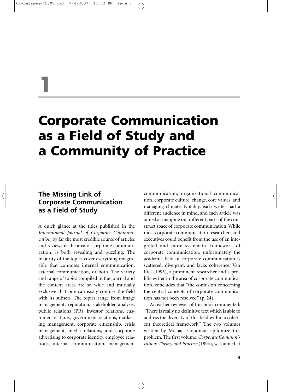**1**

# **Corporate Communication as a Field of Study and a Community of Practice**

## **The Missing Link of Corporate Communication as a Field of Study**

A quick glance at the titles published in the *International Journal of Corporate Communication*, by far the most credible source of articles and reviews in the area of corporate communication, is both revealing and puzzling. The majority of the topics cover everything imaginable that connotes internal communication, external communication, or both. The variety and range of topics compiled in the journal and the content areas are so wide and mutually exclusive that one can easily confuse the field with its subsets. The topics range from image management, reputation, stakeholder analysis, public relations (PR), investor relations, customer relations, government relations, marketing management, corporate citizenship, crisis management, media relations, and corporate advertising to corporate identity, employee relations, internal communication, management communication, organizational communication, corporate culture, change, core values, and managing climate. Notably, each writer had a different audience in mind, and each article was aimed at mapping out different parts of the construct space of corporate communication. While most corporate communication researchers and executives could benefit from the use of an integrated and more systematic framework of corporate communication, unfortunately the academic field of corporate communication is scattered, divergent, and lacks coherence. Van Riel (1995), a prominent researcher and a prolific writer in the area of corporate communication, concludes that "the confusion concerning the central concepts of corporate communication has not been resolved" (p. 24).

An earlier reviewer of this book commented: "There is really no definitive text which is able to address the diversity of this field within a coherent theoretical framework." The two volumes written by Michael Goodman epitomize this problem. The first volume, *Corporate Communication: Theory and Practice* (1994), was aimed at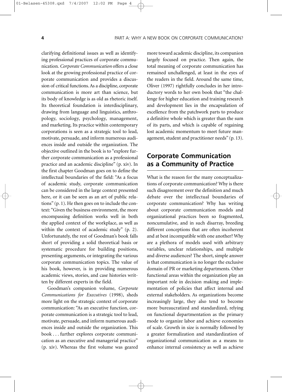clarifying definitional issues as well as identifying professional practices of corporate communication*. Corporate Communication* offers a close look at the growing professional practice of corporate communication and provides a discussion of critical functions. As a discipline, corporate communication is more art than science, but its body of knowledge is as old as rhetoric itself. Its theoretical foundation is interdisciplinary, drawing from language and linguistics, anthropology, sociology, psychology, management, and marketing. Its practice within contemporary corporations is seen as a strategic tool to lead, motivate, persuade, and inform numerous audiences inside and outside the organization. The objective outlined in the book is to "explore further corporate communication as a professional practice and an academic discipline" (p. xiv). In the first chapter Goodman goes on to define the intellectual boundaries of the field: "As a focus of academic study, corporate communication can be considered in the large context presented here, or it can be seen as an art of public relations" (p. 1). He then goes on to include the context: "Given the business environment, the more encompassing definition works well in both the applied context of the workplace, as well as within the context of academic study" (p. 2). Unfortunately, the rest of Goodman's book falls short of providing a solid theoretical basis or systematic procedure for building positions, presenting arguments, or integrating the various corporate communication topics. The value of his book, however, is in providing numerous academic views, stories, and case histories written by different experts in the field.

Goodman's companion volume, *Corporate Communications for Executives* (1998), sheds more light on the strategic context of corporate communication: "As an executive function, corporate communication is a strategic tool to lead, motivate, persuade, and inform numerous audiences inside and outside the organization. This book . . . further explores corporate communication as an executive and managerial practice" (p. xiv). Whereas the first volume was geared more toward academic discipline, its companion largely focused on practice. Then again, the total meaning of corporate communication has remained unchallenged, at least in the eyes of the readers in the field. Around the same time, Oliver (1997) rightfully concludes in her introductory words to her own book that "the challenge for higher education and training research and development lies in the encapsulation of excellence from the patchwork parts to produce a definitive whole which is greater than the sum of its parts, and which is capable of regaining lost academic momentum to meet future management, student and practitioner needs" (p. 13).

#### **Corporate Communication as a Community of Practice**

What is the reason for the many conceptualizations of corporate communication? Why is there such disagreement over the definition and much debate over the intellectual boundaries of corporate communication? Why has writing about corporate communication models and organizational practices been so fragmented, noncumulative, and in such disarray, breeding different conceptions that are often incoherent and at best incompatible with one another? Why are a plethora of models used with arbitrary variables, unclear relationships, and multiple and diverse audiences? The short, simple answer is that communication is no longer the exclusive domain of PR or marketing departments. Other functional areas within the organization play an important role in decision making and implementation of policies that affect internal and external stakeholders. As organizations become increasingly large, they also tend to become more bureaucratized and standardized, relying on functional departmentation as the primary mode to organize labor and achieve economies of scale. Growth in size is normally followed by a greater formalization and standardization of organizational communication as a means to enhance internal consistency as well as achieve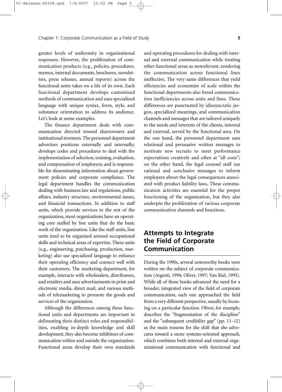#### Chapter 1: Corporate Communication as a Field of Study **5**

greater levels of uniformity in organizational responses. However, the proliferation of communication products (e.g., policies, procedures, memos, internal documents, brochures, newsletters, press releases, annual reports) across the functional units takes on a life of its own. Each functional department develops customized methods of communication and uses specialized language with unique syntax, form, style, and substance orientation to address its audience. Let's look at some examples.

The finance department deals with communication directed toward shareowners and institutional investors. The personnel department advertises positions externally and internally; develops codes and procedures to deal with the implementation of selection, training, evaluation, and compensation of employees; and is responsible for disseminating information about government policies and corporate compliance. The legal department handles the communication dealing with business law and regulations, public affairs, industry structure, environmental issues, and financial transactions. In addition to staff units, which provide services to the rest of the organization, most organizations have an operating core staffed by line units that do the basic work of the organization. Like the staff units, line units tend to be organized around occupational skills and technical areas of expertise. These units (e.g., engineering, purchasing, production, marketing) also use specialized language to enhance their operating efficiency and connect well with their customers. The marketing department, for example, interacts with wholesalers, distributors, and retailers and uses advertisements in print and electronic media, direct mail, and various methods of telemarketing to promote the goods and services of the organization.

Although the differences among these functional units and departments are important in delineating their distinct roles and responsibilities, enabling in-depth knowledge and skill development, they also become inhibitors of communication within and outside the organization. Functional areas develop their own standards and operating procedures for dealing with internal and external communication while treating other functional areas as nonrelevant, rendering the communication across functional lines ineffective. The very same differences that yield efficiencies and economies of scale within the functional departments also breed communication inefficiencies across units and lines. These differences are punctuated by idiosyncratic jargon, specialized meanings, and communication channels and messages that are tailored uniquely to the needs and interests of the clients, internal and external, served by the functional area. On the one hand, the personnel department uses relational and persuasive written messages to motivate new recruits to meet performance expectations creatively and often at "all costs"; on the other hand, the legal counsel staff use rational and conclusive messages to inform employees about the legal consequences associated with product liability laws. These communication activities are essential for the proper functioning of the organization, but they also underpin the proliferation of various corporate communication channels and functions.

### **Attempts to Integrate the Field of Corporate Communication**

During the 1990s, several noteworthy books were written on the subject of corporate communication (Argenti, 1994; Oliver, 1997; Van Riel, 1995). While all of these books advanced the need for a broader, integrated view of the field of corporate communication, each one approached the field from a very different perspective, usually by focusing on a particular function. Oliver, for example, describes the "fragmentation of the discipline" and the "subsequent credibility gap" (pp. 11–12) as the main reasons for the shift that she advocates toward a more systems-oriented approach, which combines both internal and external organizational communication with functional and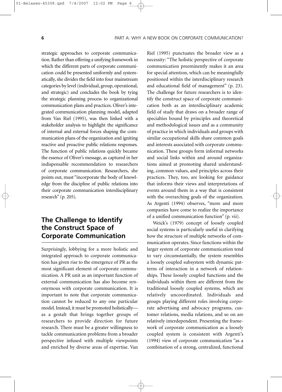**6 PART A: WHY A NEW BOOK ON CORPORATE COMMUNICATION?** 

strategic approaches to corporate communication. Rather than offering a unifying framework in which the different parts of corporate communication could be presented uniformly and systematically, she divides the field into four mainstream categories by level (individual, group, operational, and strategic) and concludes the book by tying the strategic planning process to organizational communication plans and practices. Oliver's integrated communication planning model, adapted from Van Riel (1995), was then linked with a stakeholder analysis to highlight the significance of internal and external forces shaping the communication plans of the organization and igniting reactive and proactive public relations responses. The function of public relations quickly became the essence of Oliver's message, as captured in her indispensable recommendation to researchers of corporate communication. Researchers, she points out, must "incorporate the body of knowledge from the discipline of public relations into their corporate communication interdisciplinary research" (p. 205).

### **The Challenge to Identify the Construct Space of Corporate Communication**

Surprisingly, lobbying for a more holistic and integrated approach to corporate communication has given rise to the emergence of PR as the most significant element of corporate communication. A PR unit as an important function of external communication has also become synonymous with corporate communication. It is important to note that corporate communication cannot be reduced to any one particular model. Instead, it must be promoted holistically as a gestalt that brings together groups of researchers to provide direction for future research. There must be a greater willingness to tackle communication problems from a broader perspective infused with multiple viewpoints and enriched by diverse areas of expertise. Van Riel (1995) punctuates the broader view as a necessity: "The holistic perspective of corporate communication preeminently makes it an area for special attention, which can be meaningfully positioned within the interdisciplinary research and educational field of management" (p. 23). The challenge for future researchers is to identify the construct space of corporate communication both as an interdisciplinary academic field of study that draws on a broader range of specialties bound by principles and theoretical and methodological issues and as a community of practice in which individuals and groups with similar occupational skills share common goals and interests associated with corporate communication. These groups form informal networks and social links within and around organizations aimed at promoting shared understanding, common values, and principles across their practices. They, too, are looking for guidance that informs their views and interpretations of events around them in a way that is consistent with the overarching goals of the organization. As Argenti (1994) observes, "more and more companies have come to realize the importance of a unified communication function" (p. vii).

Weick's (1979) concept of loosely coupled social systems is particularly useful in clarifying how the structure of multiple networks of communication operates. Since functions within the larger system of corporate communication tend to vary circumstantially, the system resembles a loosely coupled subsystem with dynamic patterns of interaction in a network of relationships. These loosely coupled functions and the individuals within them are different from the traditional loosely coupled systems, which are relatively uncoordinated. Individuals and groups playing different roles involving corporate advertising and advocacy programs, customer relations, media relations, and so on are relatively interdependent. Presenting the framework of corporate communication as a loosely coupled system is consistent with Argenti's (1994) view of corporate communication "as a combination of a strong, centralized, functional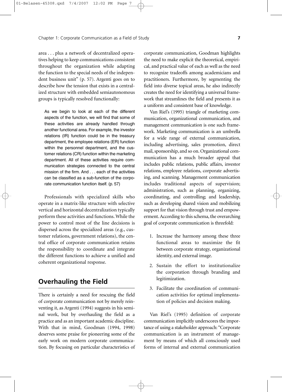Chapter 1: Corporate Communication as a Field of Study **7**

area . . . plus a network of decentralized operatives helping to keep communications consistent throughout the organization while adapting the function to the special needs of the independent business unit" (p. 57). Argenti goes on to describe how the tension that exists in a centralized structure with embedded semiautonomous groups is typically resolved functionally:

As we begin to look at each of the different aspects of the function, we will find that some of these activities are already handled through another functional area. For example, the investor relations (IR) function could be in the treasury department, the employee relations (ER) function within the personnel department, and the customer relations (CR) function within the marketing department. All of these activities require communication strategies connected to the central mission of the firm. And . . . each of the activities can be classified as a sub-function of the corporate communication function itself. (p. 57)

Professionals with specialized skills who operate in a matrix-like structure with selective vertical and horizontal decentralization typically perform these activities and functions. While the power to control most of the line decisions is dispersed across the specialized areas (e.g., customer relations, government relations), the central office of corporate communication retains the responsibility to coordinate and integrate the different functions to achieve a unified and coherent organizational response.

#### **Overhauling the Field**

There is certainly a need for rescuing the field of corporate communication not by merely reinventing it, as Argenti (1994) suggests in his seminal work, but by overhauling the field as a practice and as an important academic discipline. With that in mind, Goodman (1994, 1998) deserves some praise for pioneering some of the early work on modern corporate communication. By focusing on particular characteristics of corporate communication, Goodman highlights the need to make explicit the theoretical, empirical, and practical value of each as well as the need to recognize tradeoffs among academicians and practitioners. Furthermore, by segmenting the field into diverse topical areas, he also indirectly creates the need for identifying a universal framework that streamlines the field and presents it as a uniform and consistent base of knowledge.

Van Riel's (1995) triangle of marketing communication, organizational communication, and management communication is one such framework. Marketing communication is an umbrella for a wide range of external communication, including advertising, sales promotion, direct mail, sponsorship, and so on. Organizational communication has a much broader appeal that includes public relations, public affairs, investor relations, employee relations, corporate advertising, and scanning. Management communication includes traditional aspects of supervision; administration, such as planning, organizing, coordinating, and controlling; and leadership, such as developing shared vision and mobilizing support for that vision through trust and empowerment. According to this schema, the overarching goal of corporate communication is threefold:

- 1. Increase the harmony among these three functional areas to maximize the fit between corporate strategy, organizational identity, and external image.
- 2. Sustain the effort to institutionalize the corporation through branding and legitimization.
- 3. Facilitate the coordination of communication activities for optimal implementation of policies and decision making.

Van Riel's (1995) definition of corporate communication implicitly underscores the importance of using a stakeholder approach: "Corporate communication is an instrument of management by means of which all consciously used forms of internal and external communication